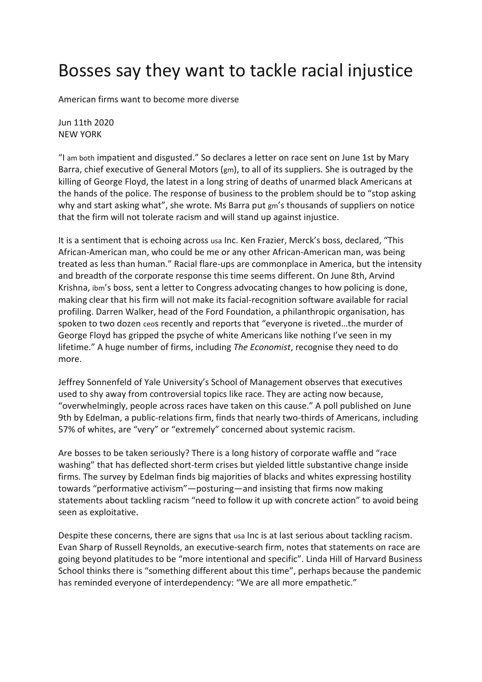# Bosses say they want to tackle racial injustice

American firms want to become more diverse

Jun 11th 2020 NEW YORK

"I am both impatient and disgusted." So declares a letter on race sent on June 1st by Mary Barra, chief executive of General Motors (gm), to all of its suppliers. She is outraged by the killing of George Floyd, the latest in a long string of deaths of unarmed black Americans at the hands of the police. The response of business to the problem should be to "stop asking why and start asking what", she wrote. Ms Barra put gm's thousands of suppliers on notice that the firm will not tolerate racism and will stand up against injustice.

It is a sentiment that is echoing across usa Inc. Ken Frazier, Merck's boss, declared, "This African-American man, who could be me or any other African-American man, was being treated as less than human." Racial flare-ups are commonplace in America, but the intensity and breadth of the corporate response this time seems different. On June 8th, Arvind Krishna, ibm's boss, sent a letter to Congress advocating changes to how policing is done, making clear that his firm will not make its facial-recognition software available for racial profiling. Darren Walker, head of the Ford Foundation, a philanthropic organisation, has spoken to two dozen ceos recently and reports that "everyone is riveted…the murder of George Floyd has gripped the psyche of white Americans like nothing I've seen in my lifetime." A huge number of firms, including *The Economist*, recognise they need to do more.

Jeffrey Sonnenfeld of Yale University's School of Management observes that executives used to shy away from controversial topics like race. They are acting now because, "overwhelmingly, people across races have taken on this cause." A poll published on June 9th by Edelman, a public-relations firm, finds that nearly two-thirds of Americans, including 57% of whites, are "very" or "extremely" concerned about systemic racism.

Are bosses to be taken seriously? There is a long history of corporate waffle and "race washing" that has deflected short-term crises but yielded little substantive change inside firms. The survey by Edelman finds big majorities of blacks and whites expressing hostility towards "performative activism"—posturing—and insisting that firms now making statements about tackling racism "need to follow it up with concrete action" to avoid being seen as exploitative.

Despite these concerns, there are signs that usa Inc is at last serious about tackling racism. Evan Sharp of Russell Reynolds, an executive-search firm, notes that statements on race are going beyond platitudes to be "more intentional and specific". Linda Hill of Harvard Business School thinks there is "something different about this time", perhaps because the pandemic has reminded everyone of interdependency: "We are all more empathetic."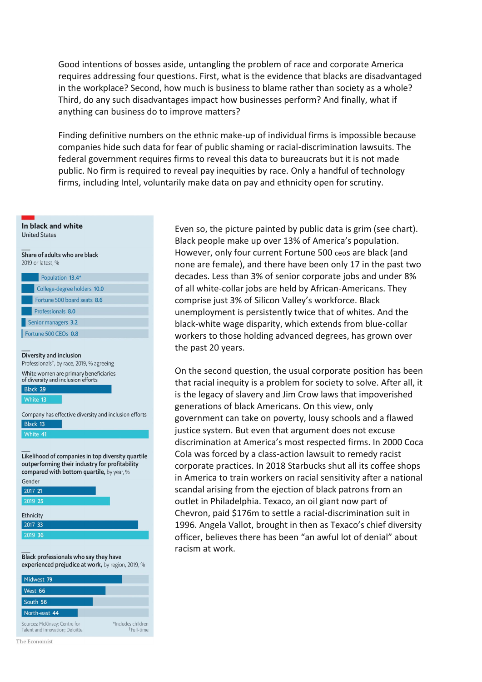Good intentions of bosses aside, untangling the problem of race and corporate America requires addressing four questions. First, what is the evidence that blacks are disadvantaged in the workplace? Second, how much is business to blame rather than society as a whole? Third, do any such disadvantages impact how businesses perform? And finally, what if anything can business do to improve matters?

Finding definitive numbers on the ethnic make-up of individual firms is impossible because companies hide such data for fear of public shaming or racial-discrimination lawsuits. The federal government requires firms to reveal this data to bureaucrats but it is not made public. No firm is required to reveal pay inequities by race. Only a handful of technology firms, including Intel, voluntarily make data on pay and ethnicity open for scrutiny.

### In black and white **United States**

Share of adults who are black 2019 or latest %

| Population 13.4*            |
|-----------------------------|
| College-degree holders 10.0 |
| Fortune 500 board seats 8.6 |
| Professionals 8.0           |
| Senior managers 3.2         |
| Fortune 500 CEOs 0.8        |

### Diversity and inclusion

Professionals<sup>t</sup>, by race, 2019, % agreeing White women are primary beneficiaries of diversity and inclusion efforts Black 29

White 13

Company has effective diversity and inclusion efforts Black 13

White 41

Likelihood of companies in top diversity quartile outperforming their industry for profitability compared with bottom quartile, by year, %



#### Black professionals who say they have experienced prejudice at work, by region, 2019, %



The Economist

Even so, the picture painted by public data is grim (see chart). Black people make up over 13% of America's population. However, only four current Fortune 500 ceos are black (and none are female), and there have been only 17 in the past two decades. Less than 3% of senior corporate jobs and under 8% of all white-collar jobs are held by African-Americans. They comprise just 3% of Silicon Valley's workforce. Black unemployment is persistently twice that of whites. And the black-white wage disparity, which extends from blue-collar workers to those holding advanced degrees, has grown over the past 20 years.

On the second question, the usual corporate position has been that racial inequity is a problem for society to solve. After all, it is the legacy of slavery and Jim Crow laws that impoverished generations of black Americans. On this view, only government can take on poverty, lousy schools and a flawed justice system. But even that argument does not excuse discrimination at America's most respected firms. In 2000 Coca Cola was forced by a class-action lawsuit to remedy racist corporate practices. In 2018 Starbucks shut all its coffee shops in America to train workers on racial sensitivity after a national scandal arising from the ejection of black patrons from an outlet in Philadelphia. Texaco, an oil giant now part of Chevron, paid \$176m to settle a racial-discrimination suit in 1996. Angela Vallot, brought in then as Texaco's chief diversity officer, believes there has been "an awful lot of denial" about racism at work.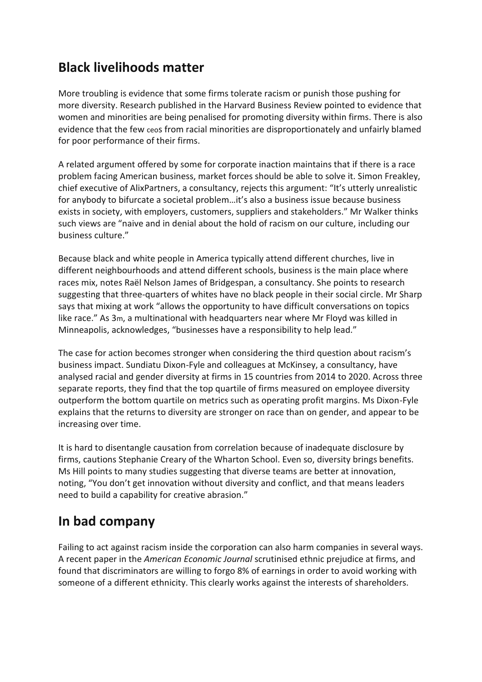# **Black livelihoods matter**

More troubling is evidence that some firms tolerate racism or punish those pushing for more diversity. Research published in the Harvard Business Review pointed to evidence that women and minorities are being penalised for promoting diversity within firms. There is also evidence that the few ceos from racial minorities are disproportionately and unfairly blamed for poor performance of their firms.

A related argument offered by some for corporate inaction maintains that if there is a race problem facing American business, market forces should be able to solve it. Simon Freakley, chief executive of AlixPartners, a consultancy, rejects this argument: "It's utterly unrealistic for anybody to bifurcate a societal problem…it's also a business issue because business exists in society, with employers, customers, suppliers and stakeholders." Mr Walker thinks such views are "naive and in denial about the hold of racism on our culture, including our business culture."

Because black and white people in America typically attend different churches, live in different neighbourhoods and attend different schools, business is the main place where races mix, notes Raël Nelson James of Bridgespan, a consultancy. She points to research suggesting that three-quarters of whites have no black people in their social circle. Mr Sharp says that mixing at work "allows the opportunity to have difficult conversations on topics like race." As 3m, a multinational with headquarters near where Mr Floyd was killed in Minneapolis, acknowledges, "businesses have a responsibility to help lead."

The case for action becomes stronger when considering the third question about racism's business impact. Sundiatu Dixon-Fyle and colleagues at McKinsey, a consultancy, have analysed racial and gender diversity at firms in 15 countries from 2014 to 2020. Across three separate reports, they find that the top quartile of firms measured on employee diversity outperform the bottom quartile on metrics such as operating profit margins. Ms Dixon-Fyle explains that the returns to diversity are stronger on race than on gender, and appear to be increasing over time.

It is hard to disentangle causation from correlation because of inadequate disclosure by firms, cautions Stephanie Creary of the Wharton School. Even so, diversity brings benefits. Ms Hill points to many studies suggesting that diverse teams are better at innovation, noting, "You don't get innovation without diversity and conflict, and that means leaders need to build a capability for creative abrasion."

## **In bad company**

Failing to act against racism inside the corporation can also harm companies in several ways. A recent paper in the *American Economic Journal* scrutinised ethnic prejudice at firms, and found that discriminators are willing to forgo 8% of earnings in order to avoid working with someone of a different ethnicity. This clearly works against the interests of shareholders.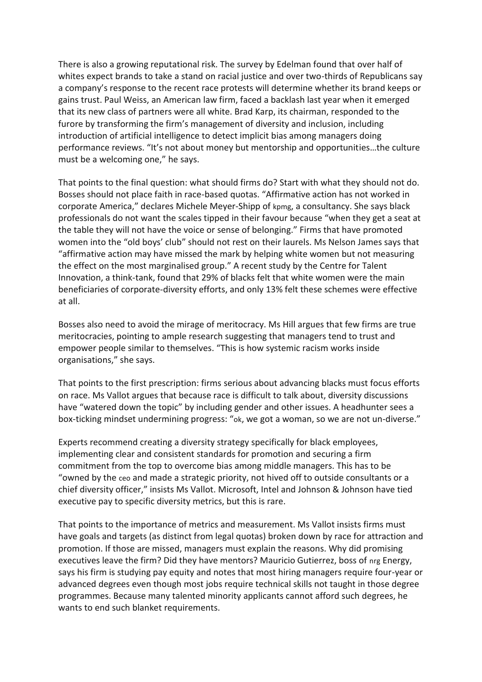There is also a growing reputational risk. The survey by Edelman found that over half of whites expect brands to take a stand on racial justice and over two-thirds of Republicans say a company's response to the recent race protests will determine whether its brand keeps or gains trust. Paul Weiss, an American law firm, faced a backlash last year when it emerged that its new class of partners were all white. Brad Karp, its chairman, responded to the furore by transforming the firm's management of diversity and inclusion, including introduction of artificial intelligence to detect implicit bias among managers doing performance reviews. "It's not about money but mentorship and opportunities…the culture must be a welcoming one," he says.

That points to the final question: what should firms do? Start with what they should not do. Bosses should not place faith in race-based quotas. "Affirmative action has not worked in corporate America," declares Michele Meyer-Shipp of kpmg, a consultancy. She says black professionals do not want the scales tipped in their favour because "when they get a seat at the table they will not have the voice or sense of belonging." Firms that have promoted women into the "old boys' club" should not rest on their laurels. Ms Nelson James says that "affirmative action may have missed the mark by helping white women but not measuring the effect on the most marginalised group." A recent study by the Centre for Talent Innovation, a think-tank, found that 29% of blacks felt that white women were the main beneficiaries of corporate-diversity efforts, and only 13% felt these schemes were effective at all.

Bosses also need to avoid the mirage of meritocracy. Ms Hill argues that few firms are true meritocracies, pointing to ample research suggesting that managers tend to trust and empower people similar to themselves. "This is how systemic racism works inside organisations," she says.

That points to the first prescription: firms serious about advancing blacks must focus efforts on race. Ms Vallot argues that because race is difficult to talk about, diversity discussions have "watered down the topic" by including gender and other issues. A headhunter sees a box-ticking mindset undermining progress: "ok, we got a woman, so we are not un-diverse."

Experts recommend creating a diversity strategy specifically for black employees, implementing clear and consistent standards for promotion and securing a firm commitment from the top to overcome bias among middle managers. This has to be "owned by the ceo and made a strategic priority, not hived off to outside consultants or a chief diversity officer," insists Ms Vallot. Microsoft, Intel and Johnson & Johnson have tied executive pay to specific diversity metrics, but this is rare.

That points to the importance of metrics and measurement. Ms Vallot insists firms must have goals and targets (as distinct from legal quotas) broken down by race for attraction and promotion. If those are missed, managers must explain the reasons. Why did promising executives leave the firm? Did they have mentors? Mauricio Gutierrez, boss of nrg Energy, says his firm is studying pay equity and notes that most hiring managers require four-year or advanced degrees even though most jobs require technical skills not taught in those degree programmes. Because many talented minority applicants cannot afford such degrees, he wants to end such blanket requirements.